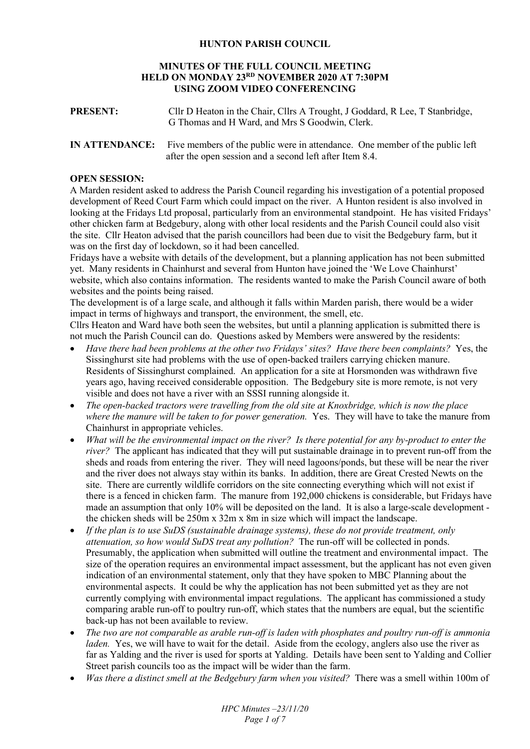## **HUNTON PARISH COUNCIL**

### **MINUTES OF THE FULL COUNCIL MEETING HELD ON MONDAY 23RD NOVEMBER 2020 AT 7:30PM USING ZOOM VIDEO CONFERENCING**

| <b>PRESENT:</b> | Cllr D Heaton in the Chair, Cllrs A Trought, J Goddard, R Lee, T Stanbridge, |
|-----------------|------------------------------------------------------------------------------|
|                 | G Thomas and H Ward, and Mrs S Goodwin, Clerk.                               |

## **IN ATTENDANCE:** Five members of the public were in attendance. One member of the public left after the open session and a second left after Item 8.4.

### **OPEN SESSION:**

A Marden resident asked to address the Parish Council regarding his investigation of a potential proposed development of Reed Court Farm which could impact on the river. A Hunton resident is also involved in looking at the Fridays Ltd proposal, particularly from an environmental standpoint. He has visited Fridays' other chicken farm at Bedgebury, along with other local residents and the Parish Council could also visit the site. Cllr Heaton advised that the parish councillors had been due to visit the Bedgebury farm, but it was on the first day of lockdown, so it had been cancelled.

Fridays have a website with details of the development, but a planning application has not been submitted yet. Many residents in Chainhurst and several from Hunton have joined the 'We Love Chainhurst' website, which also contains information. The residents wanted to make the Parish Council aware of both websites and the points being raised.

The development is of a large scale, and although it falls within Marden parish, there would be a wider impact in terms of highways and transport, the environment, the smell, etc.

Cllrs Heaton and Ward have both seen the websites, but until a planning application is submitted there is not much the Parish Council can do. Questions asked by Members were answered by the residents:

- *Have there had been problems at the other two Fridays' sites? Have there been complaints?* Yes, the Sissinghurst site had problems with the use of open-backed trailers carrying chicken manure. Residents of Sissinghurst complained. An application for a site at Horsmonden was withdrawn five years ago, having received considerable opposition. The Bedgebury site is more remote, is not very visible and does not have a river with an SSSI running alongside it.
- *The open-backed tractors were travelling from the old site at Knoxbridge, which is now the place where the manure will be taken to for power generation.* Yes. They will have to take the manure from Chainhurst in appropriate vehicles.
- *What will be the environmental impact on the river? Is there potential for any by-product to enter the river?* The applicant has indicated that they will put sustainable drainage in to prevent run-off from the sheds and roads from entering the river. They will need lagoons/ponds, but these will be near the river and the river does not always stay within its banks. In addition, there are Great Crested Newts on the site. There are currently wildlife corridors on the site connecting everything which will not exist if there is a fenced in chicken farm. The manure from 192,000 chickens is considerable, but Fridays have made an assumption that only 10% will be deposited on the land. It is also a large-scale development the chicken sheds will be 250m x 32m x 8m in size which will impact the landscape.
- *If the plan is to use SuDS (sustainable drainage systems), these do not provide treatment, only attenuation, so how would SuDS treat any pollution?* The run-off will be collected in ponds. Presumably, the application when submitted will outline the treatment and environmental impact. The size of the operation requires an environmental impact assessment, but the applicant has not even given indication of an environmental statement, only that they have spoken to MBC Planning about the environmental aspects. It could be why the application has not been submitted yet as they are not currently complying with environmental impact regulations. The applicant has commissioned a study comparing arable run-off to poultry run-off, which states that the numbers are equal, but the scientific back-up has not been available to review.
- *The two are not comparable as arable run-off is laden with phosphates and poultry run-off is ammonia laden.* Yes, we will have to wait for the detail. Aside from the ecology, anglers also use the river as far as Yalding and the river is used for sports at Yalding. Details have been sent to Yalding and Collier Street parish councils too as the impact will be wider than the farm.
- *Was there a distinct smell at the Bedgebury farm when you visited?* There was a smell within 100m of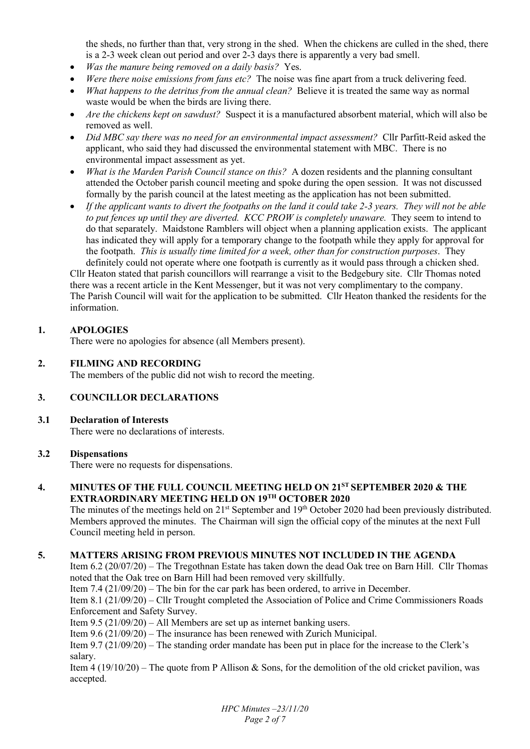the sheds, no further than that, very strong in the shed. When the chickens are culled in the shed, there is a 2-3 week clean out period and over 2-3 days there is apparently a very bad smell.

- *Was the manure being removed on a daily basis?* Yes.
- *Were there noise emissions from fans etc?* The noise was fine apart from a truck delivering feed.
- *What happens to the detritus from the annual clean?* Believe it is treated the same way as normal waste would be when the birds are living there.
- *Are the chickens kept on sawdust?* Suspect it is a manufactured absorbent material, which will also be removed as well.
- *Did MBC say there was no need for an environmental impact assessment?* Cllr Parfitt-Reid asked the applicant, who said they had discussed the environmental statement with MBC. There is no environmental impact assessment as yet.
- *What is the Marden Parish Council stance on this?* A dozen residents and the planning consultant attended the October parish council meeting and spoke during the open session. It was not discussed formally by the parish council at the latest meeting as the application has not been submitted.
- *If the applicant wants to divert the footpaths on the land it could take 2-3 years. They will not be able to put fences up until they are diverted. KCC PROW is completely unaware.* They seem to intend to do that separately. Maidstone Ramblers will object when a planning application exists. The applicant has indicated they will apply for a temporary change to the footpath while they apply for approval for the footpath. *This is usually time limited for a week, other than for construction purposes*. They definitely could not operate where one footpath is currently as it would pass through a chicken shed.

Cllr Heaton stated that parish councillors will rearrange a visit to the Bedgebury site. Cllr Thomas noted there was a recent article in the Kent Messenger, but it was not very complimentary to the company. The Parish Council will wait for the application to be submitted. Cllr Heaton thanked the residents for the information.

# **1. APOLOGIES**

There were no apologies for absence (all Members present).

## **2. FILMING AND RECORDING**

The members of the public did not wish to record the meeting.

## **3. COUNCILLOR DECLARATIONS**

**3.1 Declaration of Interests** 

There were no declarations of interests.

## **3.2 Dispensations**

There were no requests for dispensations.

## **4. MINUTES OF THE FULL COUNCIL MEETING HELD ON 21ST SEPTEMBER 2020 & THE EXTRAORDINARY MEETING HELD ON 19TH OCTOBER 2020**

The minutes of the meetings held on 21<sup>st</sup> September and 19<sup>th</sup> October 2020 had been previously distributed. Members approved the minutes. The Chairman will sign the official copy of the minutes at the next Full Council meeting held in person.

## **5. MATTERS ARISING FROM PREVIOUS MINUTES NOT INCLUDED IN THE AGENDA**

Item 6.2 (20/07/20) – The Tregothnan Estate has taken down the dead Oak tree on Barn Hill. Cllr Thomas noted that the Oak tree on Barn Hill had been removed very skillfully.

Item 7.4 (21/09/20) – The bin for the car park has been ordered, to arrive in December.

Item 8.1 (21/09/20) – Cllr Trought completed the Association of Police and Crime Commissioners Roads Enforcement and Safety Survey.

Item 9.5 (21/09/20) – All Members are set up as internet banking users.

Item 9.6 (21/09/20) – The insurance has been renewed with Zurich Municipal.

Item 9.7 (21/09/20) – The standing order mandate has been put in place for the increase to the Clerk's salary.

Item 4 (19/10/20) – The quote from P Allison & Sons, for the demolition of the old cricket pavilion, was accepted.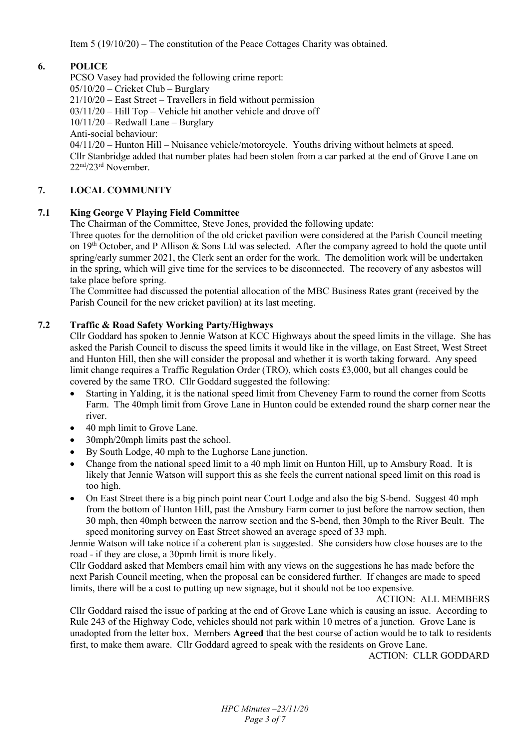# **6. POLICE**

PCSO Vasey had provided the following crime report: 05/10/20 – Cricket Club – Burglary 21/10/20 – East Street – Travellers in field without permission 03/11/20 – Hill Top – Vehicle hit another vehicle and drove off 10/11/20 – Redwall Lane – Burglary Anti-social behaviour:  $04/11/20$  – Hunton Hill – Nuisance vehicle/motorcycle. Youths driving without helmets at speed. Cllr Stanbridge added that number plates had been stolen from a car parked at the end of Grove Lane on 22nd/23rd November.

# **7. LOCAL COMMUNITY**

## **7.1 King George V Playing Field Committee**

The Chairman of the Committee, Steve Jones, provided the following update:

Three quotes for the demolition of the old cricket pavilion were considered at the Parish Council meeting on 19th October, and P Allison & Sons Ltd was selected. After the company agreed to hold the quote until spring/early summer 2021, the Clerk sent an order for the work. The demolition work will be undertaken in the spring, which will give time for the services to be disconnected. The recovery of any asbestos will take place before spring.

The Committee had discussed the potential allocation of the MBC Business Rates grant (received by the Parish Council for the new cricket pavilion) at its last meeting.

## **7.2 Traffic & Road Safety Working Party/Highways**

Cllr Goddard has spoken to Jennie Watson at KCC Highways about the speed limits in the village. She has asked the Parish Council to discuss the speed limits it would like in the village, on East Street, West Street and Hunton Hill, then she will consider the proposal and whether it is worth taking forward. Any speed limit change requires a Traffic Regulation Order (TRO), which costs £3,000, but all changes could be covered by the same TRO. Cllr Goddard suggested the following:

- Starting in Yalding, it is the national speed limit from Cheveney Farm to round the corner from Scotts Farm. The 40mph limit from Grove Lane in Hunton could be extended round the sharp corner near the river.
- 40 mph limit to Grove Lane.
- 30mph/20mph limits past the school.
- By South Lodge, 40 mph to the Lughorse Lane junction.
- Change from the national speed limit to a 40 mph limit on Hunton Hill, up to Amsbury Road. It is likely that Jennie Watson will support this as she feels the current national speed limit on this road is too high.
- On East Street there is a big pinch point near Court Lodge and also the big S-bend. Suggest 40 mph from the bottom of Hunton Hill, past the Amsbury Farm corner to just before the narrow section, then 30 mph, then 40mph between the narrow section and the S-bend, then 30mph to the River Beult. The speed monitoring survey on East Street showed an average speed of 33 mph.

Jennie Watson will take notice if a coherent plan is suggested. She considers how close houses are to the road - if they are close, a 30pmh limit is more likely.

Cllr Goddard asked that Members email him with any views on the suggestions he has made before the next Parish Council meeting, when the proposal can be considered further. If changes are made to speed limits, there will be a cost to putting up new signage, but it should not be too expensive.

ACTION: ALL MEMBERS

Cllr Goddard raised the issue of parking at the end of Grove Lane which is causing an issue. According to Rule 243 of the Highway Code, vehicles should not park within 10 metres of a junction. Grove Lane is unadopted from the letter box. Members **Agreed** that the best course of action would be to talk to residents first, to make them aware. Cllr Goddard agreed to speak with the residents on Grove Lane.

ACTION: CLLR GODDARD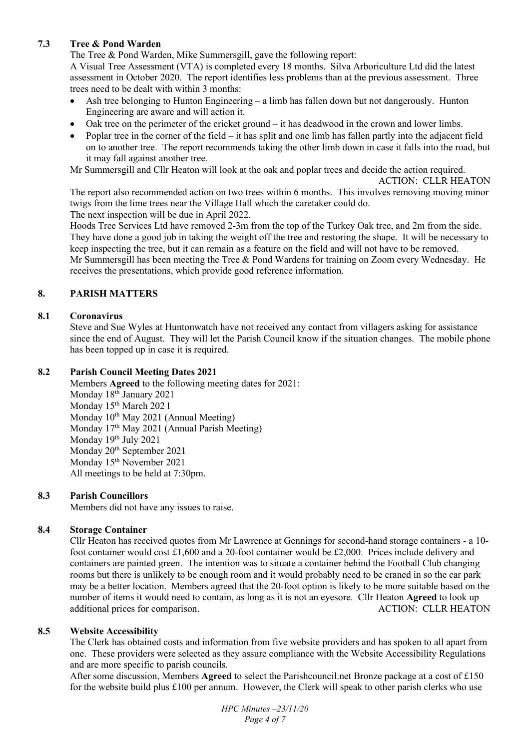# **7.3 Tree & Pond Warden**

The Tree & Pond Warden, Mike Summersgill, gave the following report:

A Visual Tree Assessment (VTA) is completed every 18 months. Silva Arboriculture Ltd did the latest assessment in October 2020. The report identifies less problems than at the previous assessment. Three trees need to be dealt with within 3 months:

- Ash tree belonging to Hunton Engineering a limb has fallen down but not dangerously. Hunton Engineering are aware and will action it.
- Oak tree on the perimeter of the cricket ground it has deadwood in the crown and lower limbs.
- Poplar tree in the corner of the field it has split and one limb has fallen partly into the adjacent field on to another tree. The report recommends taking the other limb down in case it falls into the road, but it may fall against another tree.

Mr Summersgill and Cllr Heaton will look at the oak and poplar trees and decide the action required.

ACTION: CLLR HEATON

The report also recommended action on two trees within 6 months. This involves removing moving minor twigs from the lime trees near the Village Hall which the caretaker could do.

The next inspection will be due in April 2022.

Hoods Tree Services Ltd have removed 2-3m from the top of the Turkey Oak tree, and 2m from the side. They have done a good job in taking the weight off the tree and restoring the shape. It will be necessary to keep inspecting the tree, but it can remain as a feature on the field and will not have to be removed. Mr Summersgill has been meeting the Tree & Pond Wardens for training on Zoom every Wednesday. He receives the presentations, which provide good reference information.

## **8. PARISH MATTERS**

## **8.1 Coronavirus**

Steve and Sue Wyles at Huntonwatch have not received any contact from villagers asking for assistance since the end of August. They will let the Parish Council know if the situation changes. The mobile phone has been topped up in case it is required.

## **8.2 Parish Council Meeting Dates 2021**

 Members **Agreed** to the following meeting dates for 2021: Monday 18<sup>th</sup> January 2021 Monday 15<sup>th</sup> March 2021 Monday  $10^{th}$  May 2021 (Annual Meeting) Monday 17th May 2021 (Annual Parish Meeting) Monday 19th July 2021 Monday 20<sup>th</sup> September 2021 Monday 15<sup>th</sup> November 2021 All meetings to be held at 7:30pm.

## **8.3 Parish Councillors**

Members did not have any issues to raise.

### **8.4 Storage Container**

Cllr Heaton has received quotes from Mr Lawrence at Gennings for second-hand storage containers - a 10 foot container would cost £1,600 and a 20-foot container would be £2,000. Prices include delivery and containers are painted green. The intention was to situate a container behind the Football Club changing rooms but there is unlikely to be enough room and it would probably need to be craned in so the car park may be a better location. Members agreed that the 20-foot option is likely to be more suitable based on the number of items it would need to contain, as long as it is not an eyesore. Cllr Heaton **Agreed** to look up additional prices for comparison. ACTION: CLLR HEATON

### **8.5 Website Accessibility**

The Clerk has obtained costs and information from five website providers and has spoken to all apart from one. These providers were selected as they assure compliance with the Website Accessibility Regulations and are more specific to parish councils.

After some discussion, Members **Agreed** to select the Parishcouncil.net Bronze package at a cost of £150 for the website build plus £100 per annum. However, the Clerk will speak to other parish clerks who use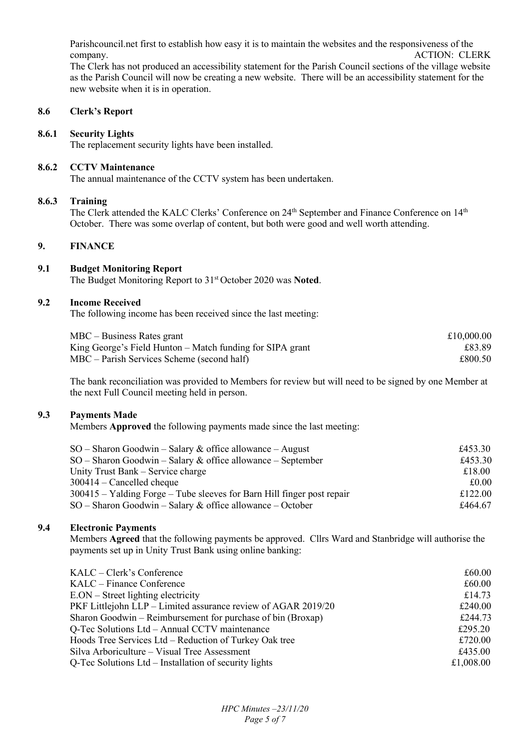Parishcouncil.net first to establish how easy it is to maintain the websites and the responsiveness of the company. ACTION: CLERK

The Clerk has not produced an accessibility statement for the Parish Council sections of the village website as the Parish Council will now be creating a new website. There will be an accessibility statement for the new website when it is in operation.

## **8.6 Clerk's Report**

#### **8.6.1 Security Lights**

The replacement security lights have been installed.

#### **8.6.2 CCTV Maintenance**

The annual maintenance of the CCTV system has been undertaken.

#### **8.6.3 Training**

The Clerk attended the KALC Clerks' Conference on 24<sup>th</sup> September and Finance Conference on 14<sup>th</sup> October. There was some overlap of content, but both were good and well worth attending.

## **9. FINANCE**

# **9.1 Budget Monitoring Report**

The Budget Monitoring Report to 31st October 2020 was **Noted**.

#### **9.2 Income Received**

The following income has been received since the last meeting:

| $MBC - Business$ Rates grant                              | £10,000.00 |
|-----------------------------------------------------------|------------|
| King George's Field Hunton – Match funding for SIPA grant | £83.89     |
| $MBC$ – Parish Services Scheme (second half)              | £800.50    |

The bank reconciliation was provided to Members for review but will need to be signed by one Member at the next Full Council meeting held in person.

### **9.3 Payments Made**

Members **Approved** the following payments made since the last meeting:

| $SO -$ Sharon Goodwin – Salary & office allowance – August                | £453.30 |
|---------------------------------------------------------------------------|---------|
| $SO -$ Sharon Goodwin – Salary & office allowance – September             | £453.30 |
| Unity Trust Bank – Service charge                                         | £18.00  |
| $300414$ – Cancelled cheque                                               | £0.00   |
| $300415 - Y$ alding Forge – Tube sleeves for Barn Hill finger post repair | £122.00 |
| $SO -$ Sharon Goodwin – Salary & office allowance – October               | £464.67 |

### **9.4 Electronic Payments**

Members **Agreed** that the following payments be approved. Cllrs Ward and Stanbridge will authorise the payments set up in Unity Trust Bank using online banking:

| KALC – Clerk's Conference                                     | £60.00    |
|---------------------------------------------------------------|-----------|
| KALC – Finance Conference                                     | £60.00    |
| $E. ON - Street lighting electricity$                         | £14.73    |
| PKF Littlejohn LLP – Limited assurance review of AGAR 2019/20 | £240.00   |
| Sharon Goodwin – Reimbursement for purchase of bin (Broxap)   | £244.73   |
| Q-Tec Solutions Ltd – Annual CCTV maintenance                 | £295.20   |
| Hoods Tree Services Ltd – Reduction of Turkey Oak tree        | £720.00   |
| Silva Arboriculture - Visual Tree Assessment                  | £435.00   |
| Q-Tec Solutions Ltd – Installation of security lights         | £1,008.00 |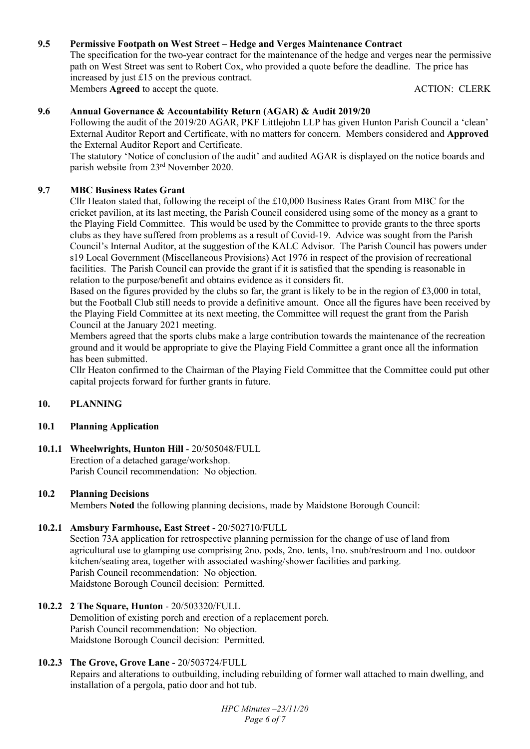# **9.5 Permissive Footpath on West Street – Hedge and Verges Maintenance Contract**

The specification for the two-year contract for the maintenance of the hedge and verges near the permissive path on West Street was sent to Robert Cox, who provided a quote before the deadline. The price has increased by just £15 on the previous contract. Members **Agreed** to accept the quote. ACTION: CLERK

## **9.6 Annual Governance & Accountability Return (AGAR) & Audit 2019/20**

Following the audit of the 2019/20 AGAR, PKF Littlejohn LLP has given Hunton Parish Council a 'clean' External Auditor Report and Certificate, with no matters for concern. Members considered and **Approved** the External Auditor Report and Certificate.

The statutory 'Notice of conclusion of the audit' and audited AGAR is displayed on the notice boards and parish website from 23rd November 2020.

## **9.7 MBC Business Rates Grant**

Cllr Heaton stated that, following the receipt of the £10,000 Business Rates Grant from MBC for the cricket pavilion, at its last meeting, the Parish Council considered using some of the money as a grant to the Playing Field Committee. This would be used by the Committee to provide grants to the three sports clubs as they have suffered from problems as a result of Covid-19. Advice was sought from the Parish Council's Internal Auditor, at the suggestion of the KALC Advisor. The Parish Council has powers under s19 Local Government (Miscellaneous Provisions) Act 1976 in respect of the provision of recreational facilities. The Parish Council can provide the grant if it is satisfied that the spending is reasonable in relation to the purpose/benefit and obtains evidence as it considers fit.

Based on the figures provided by the clubs so far, the grant is likely to be in the region of £3,000 in total, but the Football Club still needs to provide a definitive amount. Once all the figures have been received by the Playing Field Committee at its next meeting, the Committee will request the grant from the Parish Council at the January 2021 meeting.

Members agreed that the sports clubs make a large contribution towards the maintenance of the recreation ground and it would be appropriate to give the Playing Field Committee a grant once all the information has been submitted.

Cllr Heaton confirmed to the Chairman of the Playing Field Committee that the Committee could put other capital projects forward for further grants in future.

### **10. PLANNING**

### **10.1 Planning Application**

**10.1.1 Wheelwrights, Hunton Hill** - 20/505048/FULL Erection of a detached garage/workshop. Parish Council recommendation: No objection.

### **10.2 Planning Decisions**

Members **Noted** the following planning decisions, made by Maidstone Borough Council:

## **10.2.1 Amsbury Farmhouse, East Street** - 20/502710/FULL

Section 73A application for retrospective planning permission for the change of use of land from agricultural use to glamping use comprising 2no. pods, 2no. tents, 1no. snub/restroom and 1no. outdoor kitchen/seating area, together with associated washing/shower facilities and parking. Parish Council recommendation: No objection. Maidstone Borough Council decision: Permitted.

### **10.2.2 2 The Square, Hunton** - 20/503320/FULL

Demolition of existing porch and erection of a replacement porch. Parish Council recommendation: No objection. Maidstone Borough Council decision: Permitted.

### **10.2.3 The Grove, Grove Lane** - 20/503724/FULL

Repairs and alterations to outbuilding, including rebuilding of former wall attached to main dwelling, and installation of a pergola, patio door and hot tub.